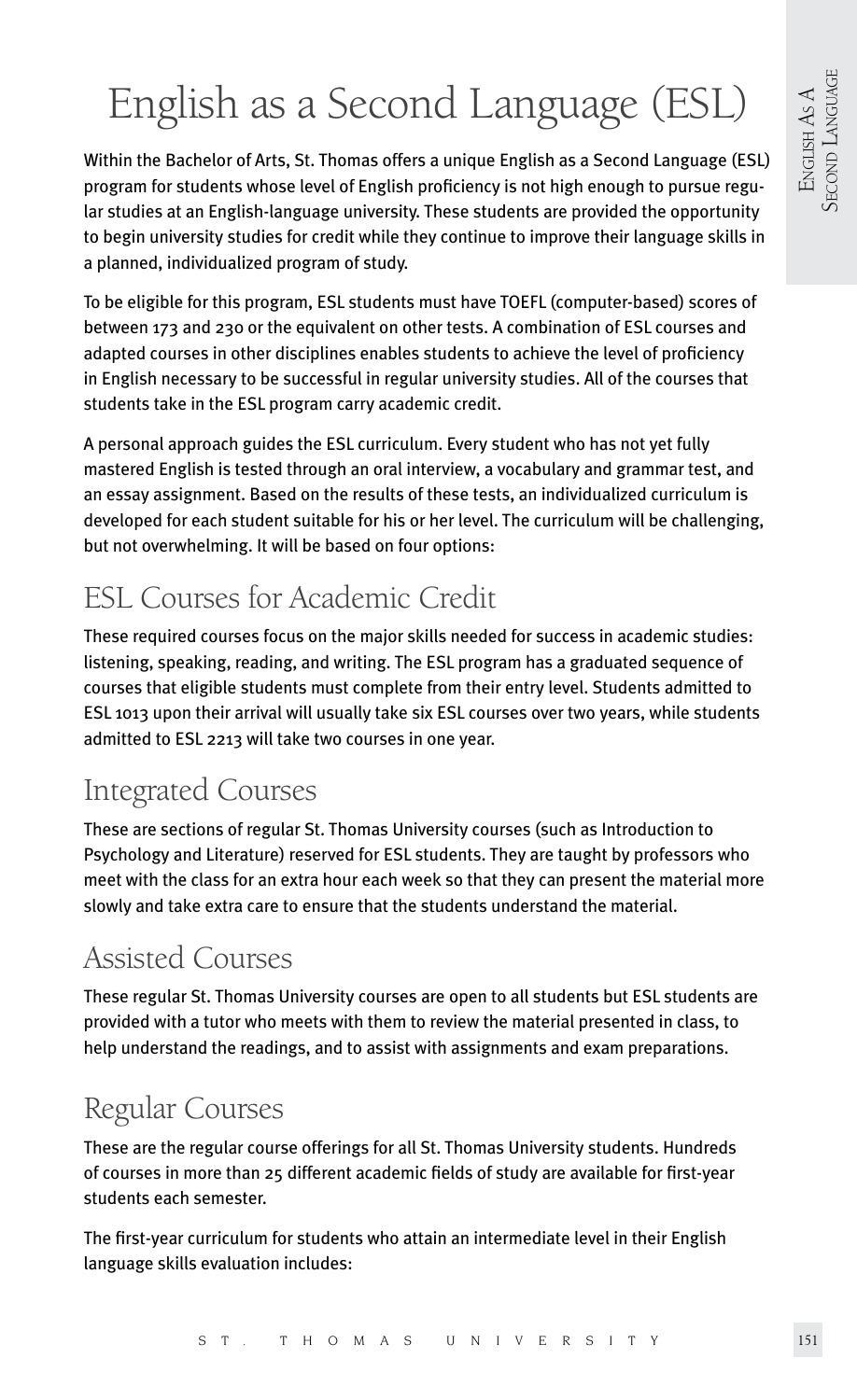# English as a Second Language (ESL)

Within the Bachelor of Arts, St. Thomas offers a unique English as a Second Language (ESL) program for students whose level of English proficiency is not high enough to pursue regular studies at an English-language university. These students are provided the opportunity to begin university studies for credit while they continue to improve their language skills in a planned, individualized program of study.

To be eligible for this program, ESL students must have TOEFL (computer-based) scores of between 173 and 230 or the equivalent on other tests. A combination of ESL courses and adapted courses in other disciplines enables students to achieve the level of proficiency in English necessary to be successful in regular university studies. All of the courses that students take in the ESL program carry academic credit.

A personal approach guides the ESL curriculum. Every student who has not yet fully mastered English is tested through an oral interview, a vocabulary and grammar test, and an essay assignment. Based on the results of these tests, an individualized curriculum is developed for each student suitable for his or her level. The curriculum will be challenging, but not overwhelming. It will be based on four options:

# ESL Courses for Academic Credit

These required courses focus on the major skills needed for success in academic studies: listening, speaking, reading, and writing. The ESL program has a graduated sequence of courses that eligible students must complete from their entry level. Students admitted to ESL 1013 upon their arrival will usually take six ESL courses over two years, while students admitted to ESL 2213 will take two courses in one year.

# Integrated Courses

These are sections of regular St. Thomas University courses (such as Introduction to Psychology and Literature) reserved for ESL students. They are taught by professors who meet with the class for an extra hour each week so that they can present the material more slowly and take extra care to ensure that the students understand the material.

# Assisted Courses

These regular St. Thomas University courses are open to all students but ESL students are provided with a tutor who meets with them to review the material presented in class, to help understand the readings, and to assist with assignments and exam preparations.

# Regular Courses

These are the regular course offerings for all St. Thomas University students. Hundreds of courses in more than 25 different academic fields of study are available for first-year students each semester.

The first-year curriculum for students who attain an intermediate level in their English language skills evaluation includes: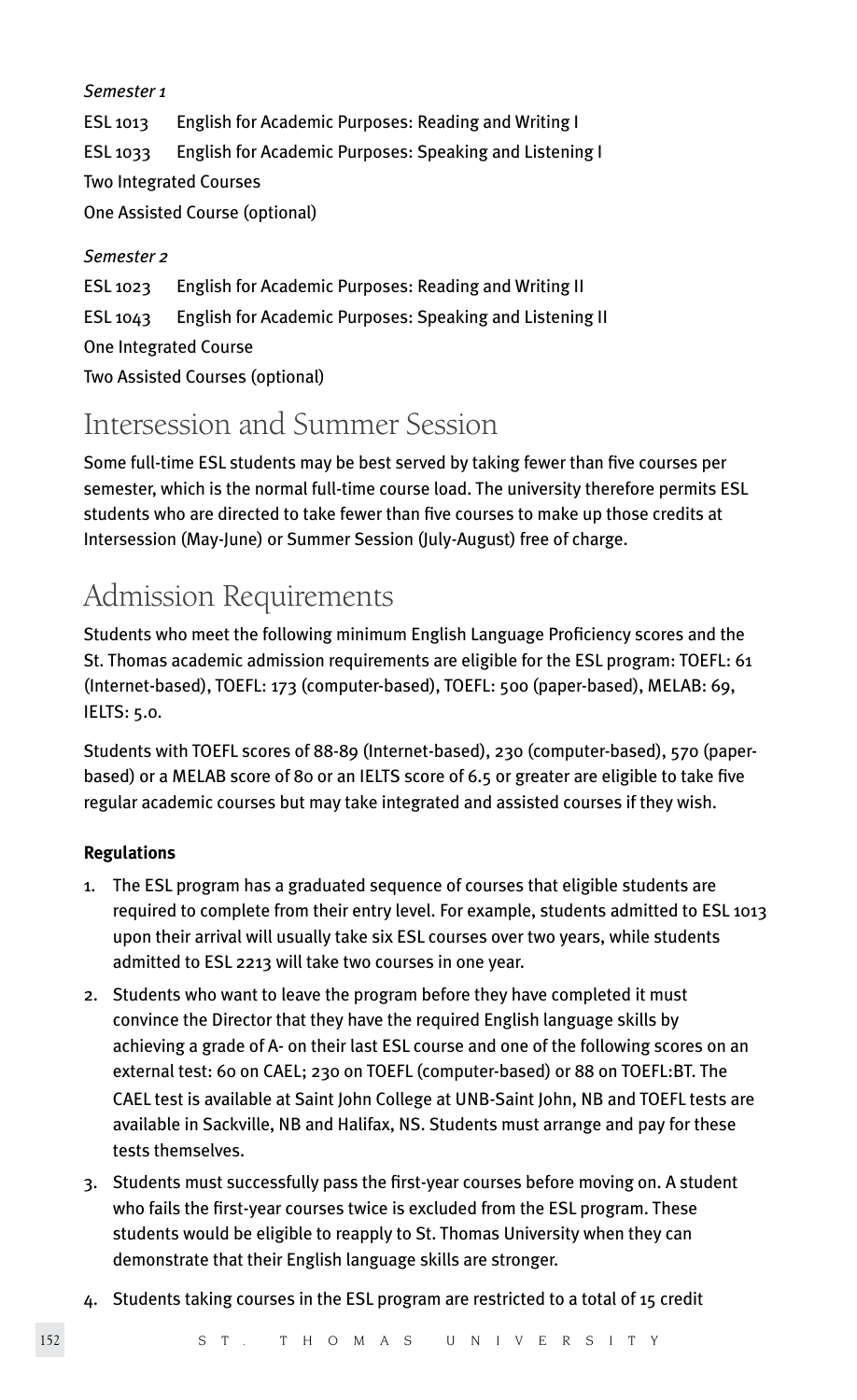#### *Semester 1*

ESL 1013 English for Academic Purposes: Reading and Writing I ESL 1033 English for Academic Purposes: Speaking and Listening I Two Integrated Courses One Assisted Course (optional)

#### *Semester 2*

ESL 1023 English for Academic Purposes: Reading and Writing II ESL 1043 English for Academic Purposes: Speaking and Listening II One Integrated Course Two Assisted Courses (optional)

### Intersession and Summer Session

Some full-time ESL students may be best served by taking fewer than five courses per semester, which is the normal full-time course load. The university therefore permits ESL students who are directed to take fewer than five courses to make up those credits at Intersession (May-June) or Summer Session (July-August) free of charge.

### Admission Requirements

Students who meet the following minimum English Language Proficiency scores and the St. Thomas academic admission requirements are eligible for the ESL program: TOEFL: 61 (Internet-based), TOEFL: 173 (computer-based), TOEFL: 500 (paper-based), MELAB: 69, IELTS: 5.0.

Students with TOEFL scores of 88-89 (Internet-based), 230 (computer-based), 570 (paperbased) or a MELAB score of 80 or an IELTS score of 6.5 or greater are eligible to take five regular academic courses but may take integrated and assisted courses if they wish.

#### **Regulations**

- 1. The ESL program has a graduated sequence of courses that eligible students are required to complete from their entry level. For example, students admitted to ESL 1013 upon their arrival will usually take six ESL courses over two years, while students admitted to ESL 2213 will take two courses in one year.
- 2. Students who want to leave the program before they have completed it must convince the Director that they have the required English language skills by achieving a grade of A- on their last ESL course and one of the following scores on an external test: 60 on CAEL; 230 on TOEFL (computer-based) or 88 on TOEFL:BT. The CAEL test is available at Saint John College at UNB-Saint John, NB and TOEFL tests are available in Sackville, NB and Halifax, NS. Students must arrange and pay for these tests themselves.
- 3. Students must successfully pass the first-year courses before moving on. A student who fails the first-year courses twice is excluded from the ESL program. These students would be eligible to reapply to St. Thomas University when they can demonstrate that their English language skills are stronger.
- 4. Students taking courses in the ESL program are restricted to a total of 15 credit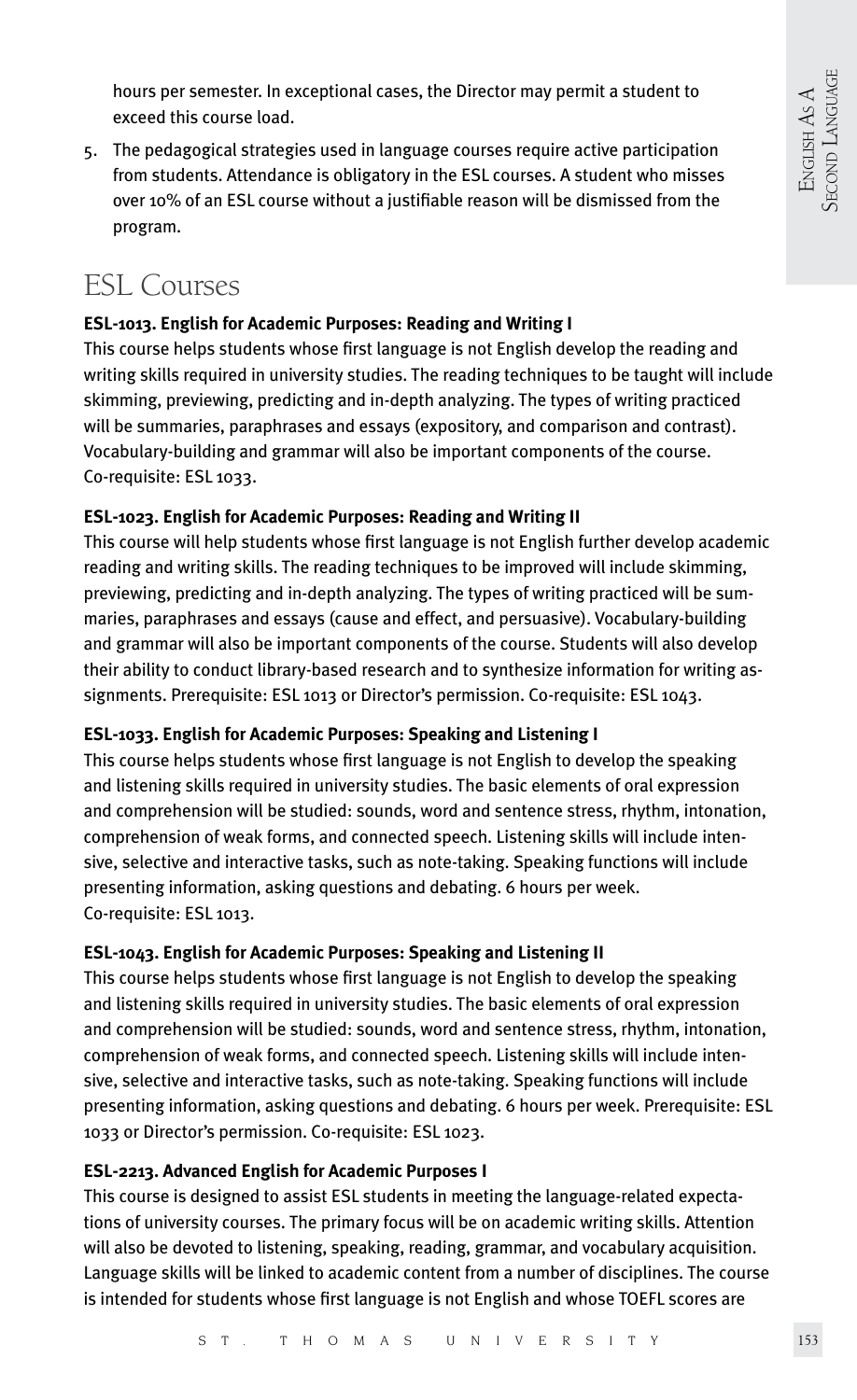hours per semester. In exceptional cases, the Director may permit a student to exceed this course load.

5. The pedagogical strategies used in language courses require active participation from students. Attendance is obligatory in the ESL courses. A student who misses over 10% of an ESL course without a justifiable reason will be dismissed from the program.

### ESL Courses

#### **ESL-1013. English for Academic Purposes: Reading and Writing I**

This course helps students whose first language is not English develop the reading and writing skills required in university studies. The reading techniques to be taught will include skimming, previewing, predicting and in-depth analyzing. The types of writing practiced will be summaries, paraphrases and essays (expository, and comparison and contrast). Vocabulary-building and grammar will also be important components of the course. Co-requisite: ESL 1033.

#### **ESL-1023. English for Academic Purposes: Reading and Writing II**

This course will help students whose first language is not English further develop academic reading and writing skills. The reading techniques to be improved will include skimming, previewing, predicting and in-depth analyzing. The types of writing practiced will be summaries, paraphrases and essays (cause and effect, and persuasive). Vocabulary-building and grammar will also be important components of the course. Students will also develop their ability to conduct library-based research and to synthesize information for writing assignments. Prerequisite: ESL 1013 or Director's permission. Co-requisite: ESL 1043.

#### **ESL-1033. English for Academic Purposes: Speaking and Listening I**

This course helps students whose first language is not English to develop the speaking and listening skills required in university studies. The basic elements of oral expression and comprehension will be studied: sounds, word and sentence stress, rhythm, intonation, comprehension of weak forms, and connected speech. Listening skills will include intensive, selective and interactive tasks, such as note-taking. Speaking functions will include presenting information, asking questions and debating. 6 hours per week. Co-requisite: ESL 1013.

#### **ESL-1043. English for Academic Purposes: Speaking and Listening II**

This course helps students whose first language is not English to develop the speaking and listening skills required in university studies. The basic elements of oral expression and comprehension will be studied: sounds, word and sentence stress, rhythm, intonation, comprehension of weak forms, and connected speech. Listening skills will include intensive, selective and interactive tasks, such as note-taking. Speaking functions will include presenting information, asking questions and debating. 6 hours per week. Prerequisite: ESL 1033 or Director's permission. Co-requisite: ESL 1023.

#### **ESL-2213. Advanced English for Academic Purposes I**

This course is designed to assist ESL students in meeting the language-related expectations of university courses. The primary focus will be on academic writing skills. Attention will also be devoted to listening, speaking, reading, grammar, and vocabulary acquisition. Language skills will be linked to academic content from a number of disciplines. The course is intended for students whose first language is not English and whose TOEFL scores are